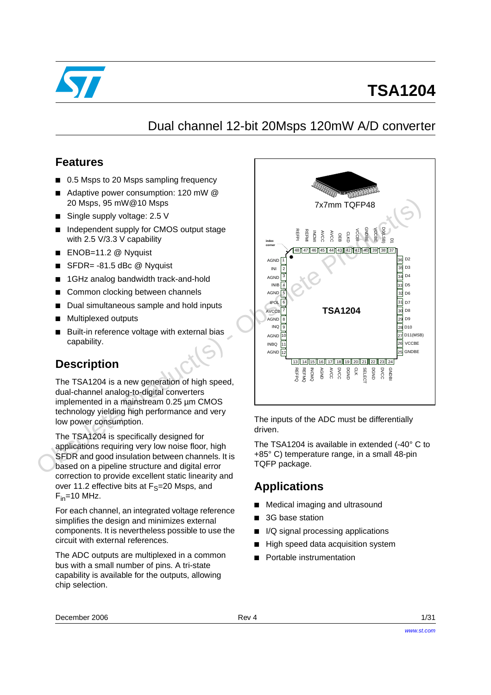

# **TSA1204**

# Dual channel 12-bit 20Msps 120mW A/D converter

### **Features**

- 0.5 Msps to 20 Msps sampling frequency
- Adaptive power consumption: 120 mW @ 20 Msps, 95 mW@10 Msps
- Single supply voltage: 2.5 V
- Independent supply for CMOS output stage with 2.5 V/3.3 V capability
- ENOB=11.2 @ Nyquist
- SFDR= -81.5 dBc @ Nyquist
- 1GHz analog bandwidth track-and-hold
- Common clocking between channels
- Dual simultaneous sample and hold inputs
- Multiplexed outputs
- Built-in reference voltage with external bias capability.

## **Description**

The TSA1204 is a new generation of high speed, dual-channel analog-to-digital converters implemented in a mainstream 0.25 µm CMOS technology yielding high performance and very low power consumption.

The TSA1204 is specifically designed for applications requiring very low noise floor, high SFDR and good insulation between channels. It is based on a pipeline structure and digital error correction to provide excellent static linearity and over 11.2 effective bits at  $F_S=20$  Msps, and  $F_{in}$ =10 MHz.

For each channel, an integrated voltage reference simplifies the design and minimizes external components. It is nevertheless possible to use the circuit with external references.

The ADC outputs are multiplexed in a common bus with a small number of pins. A tri-state capability is available for the outputs, allowing chip selection.



The inputs of the ADC must be differentially driven.

The TSA1204 is available in extended (-40° C to +85° C) temperature range, in a small 48-pin TQFP package.

## **Applications**

- Medical imaging and ultrasound
- 3G base station
- I/Q signal processing applications
- High speed data acquisition system
-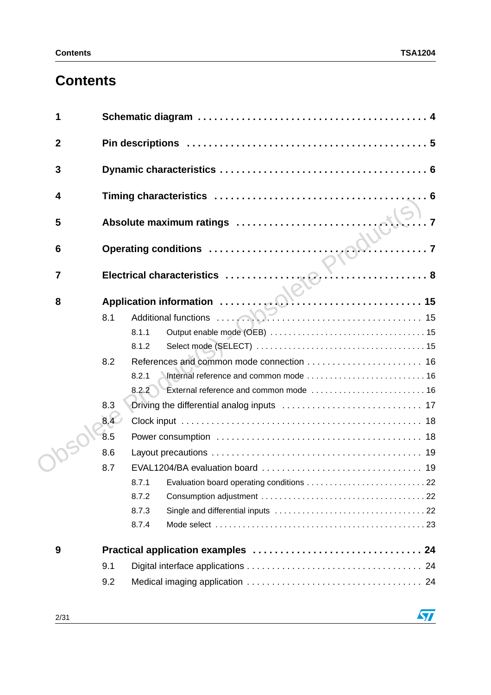# **Contents**

| 1                |                                                                                                                                                                                                                                  |  |
|------------------|----------------------------------------------------------------------------------------------------------------------------------------------------------------------------------------------------------------------------------|--|
| $\boldsymbol{2}$ |                                                                                                                                                                                                                                  |  |
| $\mathbf{3}$     |                                                                                                                                                                                                                                  |  |
| 4                |                                                                                                                                                                                                                                  |  |
| 5                |                                                                                                                                                                                                                                  |  |
| $6\phantom{1}6$  | Operating conditions<br>Electric Little of the Second Little Second Little Second Little Second Little Second Little Second Little Second Little Second Little Second Little Second Little Second Little Second Little Second Li |  |
| $\overline{7}$   |                                                                                                                                                                                                                                  |  |
| 8                |                                                                                                                                                                                                                                  |  |
|                  | 8.1                                                                                                                                                                                                                              |  |
|                  | 8.1.1                                                                                                                                                                                                                            |  |
|                  | 8.1.2                                                                                                                                                                                                                            |  |
|                  | 8.2                                                                                                                                                                                                                              |  |
|                  | 8.2.1                                                                                                                                                                                                                            |  |
|                  | External reference and common mode  16<br>8.2.2                                                                                                                                                                                  |  |
|                  | 8.3                                                                                                                                                                                                                              |  |
|                  | 8.4 <sup>o</sup>                                                                                                                                                                                                                 |  |
|                  | 8.5                                                                                                                                                                                                                              |  |
|                  | 8.6                                                                                                                                                                                                                              |  |
|                  | 8.7                                                                                                                                                                                                                              |  |
|                  | 8.7.1                                                                                                                                                                                                                            |  |
|                  | 8.7.2                                                                                                                                                                                                                            |  |
|                  | 8.7.3                                                                                                                                                                                                                            |  |
|                  | 8.7.4                                                                                                                                                                                                                            |  |
| 9                |                                                                                                                                                                                                                                  |  |
|                  | 9.1                                                                                                                                                                                                                              |  |
|                  | 9.2                                                                                                                                                                                                                              |  |

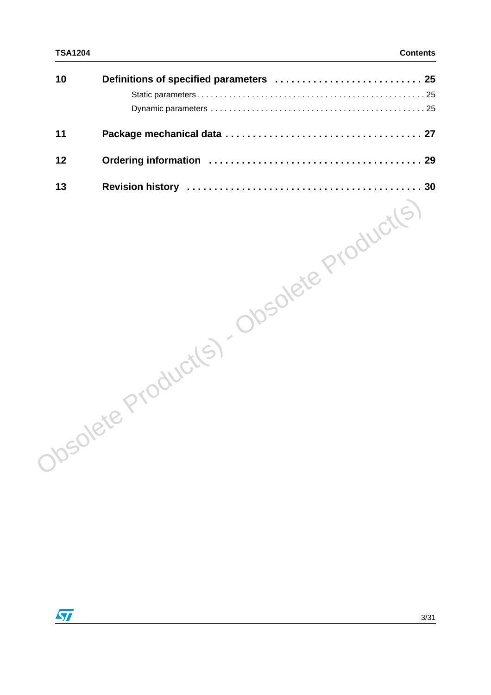| 10 |  |
|----|--|
|    |  |
|    |  |
| 11 |  |
| 12 |  |
| 13 |  |

Obsolete Product(s) - Obsolete Product(s)

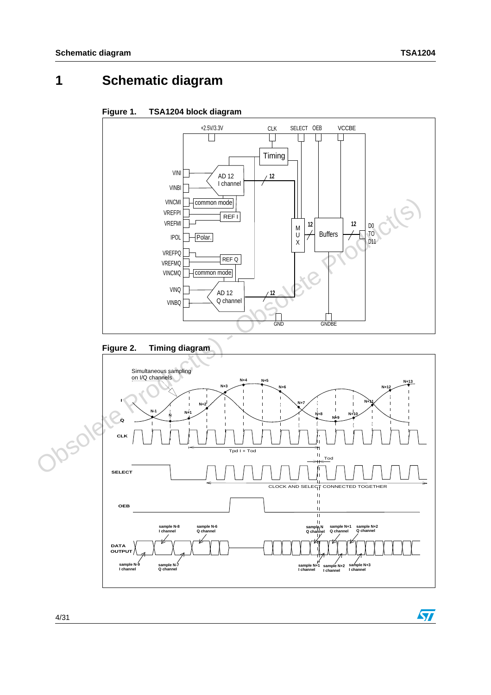# <span id="page-3-0"></span>**1 Schematic diagram**

**Figure 1. TSA1204 block diagram** 



<span id="page-3-1"></span>



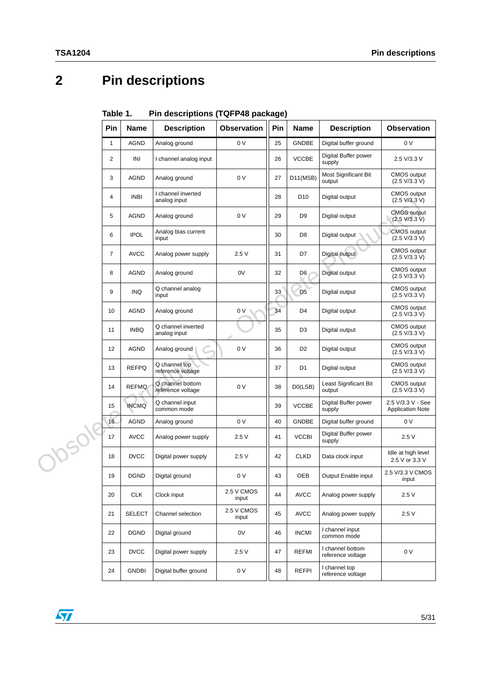# <span id="page-4-0"></span>**2 Pin descriptions**

|        | Pin                     | <b>Name</b>   | <b>Description</b>                    | <b>Observation</b>  | Pin | <b>Name</b>    | <b>Description</b>                    | <b>Observation</b>                           |
|--------|-------------------------|---------------|---------------------------------------|---------------------|-----|----------------|---------------------------------------|----------------------------------------------|
|        | $\mathbf{1}$            | <b>AGND</b>   | Analog ground                         | 0 V                 | 25  | <b>GNDBE</b>   | Digital buffer ground                 | 0 V                                          |
|        | $\overline{\mathbf{c}}$ | INI           | I channel analog input                |                     | 26  | <b>VCCBE</b>   | Digital Buffer power<br>supply        | 2.5 V/3.3 V                                  |
|        | 3                       | AGND          | Analog ground                         | 0 V                 | 27  | D11(MSB)       | Most Significant Bit<br>output        | <b>CMOS</b> output<br>(2.5 V/3.3 V)          |
|        | 4                       | <b>INBI</b>   | I channel inverted<br>analog input    |                     | 28  | D10            | Digital output                        | <b>CMOS</b> output<br>(2.5 V/3.3 V)          |
|        | 5                       | AGND          | Analog ground                         | 0 V                 | 29  | D <sub>9</sub> | Digital output                        | <b>CMOS</b> output<br>(2.5 V/3.3 V)          |
|        | 6                       | <b>IPOL</b>   | Analog bias current<br>input          |                     | 30  | D <sub>8</sub> | Digital output                        | <b>CMOS</b> output<br>(2.5 V/3.3 V)          |
|        | $\boldsymbol{7}$        | <b>AVCC</b>   | Analog power supply                   | 2.5V                | 31  | D7             | Digital output                        | <b>CMOS</b> output<br>(2.5 V/3.3 V)          |
|        | 8                       | AGND          | Analog ground                         | 0V                  | 32  | D6             | Digital output                        | <b>CMOS</b> output<br>(2.5 V/3.3 V)          |
|        | 9                       | <b>INQ</b>    | Q channel analog<br>input             |                     | 33  | D <sub>5</sub> | Digital output                        | <b>CMOS</b> output<br>(2.5 V/3.3 V)          |
|        | 10                      | AGND          | Analog ground                         | 0 V                 | 34  | D <sub>4</sub> | Digital output                        | <b>CMOS</b> output<br>(2.5 V/3.3 V)          |
|        | 11                      | <b>INBQ</b>   | Q channel inverted<br>analog input    |                     | 35  | D <sub>3</sub> | Digital output                        | <b>CMOS</b> output<br>(2.5 V/3.3 V)          |
|        | 12                      | AGND          | Analog ground                         | 0 V                 | 36  | D <sub>2</sub> | Digital output                        | <b>CMOS</b> output<br>(2.5 V/3.3 V)          |
|        | 13                      | <b>REFPQ</b>  | Q channel top<br>reference voltage    |                     | 37  | D <sub>1</sub> | Digital output                        | CMOS output<br>(2.5 V/3.3 V)                 |
|        | 14                      | <b>REFMQ</b>  | Q channel bottom<br>reference voltage | 0 V                 | 38  | D0(LSB)        | Least Significant Bit<br>output       | <b>CMOS</b> output<br>(2.5 V/3.3 V)          |
|        | 15                      | <b>INCMQ</b>  | Q channel input<br>common mode        |                     | 39  | <b>VCCBE</b>   | Digital Buffer power<br>supply        | 2.5 V/3.3 V - See<br><b>Application Note</b> |
|        | 16                      | AGND          | Analog ground                         | 0 V                 | 40  | <b>GNDBE</b>   | Digital buffer ground                 | 0 V                                          |
| Josol! | 17                      | <b>AVCC</b>   | Analog power supply                   | 2.5V                | 41  | <b>VCCBI</b>   | Digital Buffer power<br>supply        | 2.5V                                         |
|        | 18                      | <b>DVCC</b>   | Digital power supply                  | 2.5V                | 42  | <b>CLKD</b>    | Data clock input                      | Idle at high level<br>2.5 V or 3.3 V         |
|        | 19                      | <b>DGND</b>   | Digital ground                        | 0 V                 | 43  | OEB            | Output Enable input                   | 2.5 V/3.3 V CMOS<br>input                    |
|        | 20                      | <b>CLK</b>    | Clock input                           | 2.5 V CMOS<br>input | 44  | <b>AVCC</b>    | Analog power supply                   | 2.5V                                         |
|        | 21                      | <b>SELECT</b> | Channel selection                     | 2.5 V CMOS<br>input | 45  | <b>AVCC</b>    | Analog power supply                   | 2.5V                                         |
|        | 22                      | <b>DGND</b>   | Digital ground                        | 0V                  | 46  | <b>INCMI</b>   | I channel input<br>common mode        |                                              |
|        | 23                      | <b>DVCC</b>   | Digital power supply                  | 2.5V                | 47  | <b>REFMI</b>   | I channel bottom<br>reference voltage | 0 V                                          |
|        | 24                      | <b>GNDBI</b>  | Digital buffer ground                 | 0 V                 | 48  | <b>REFPI</b>   | I channel top<br>reference voltage    |                                              |
|        |                         |               |                                       |                     |     |                |                                       |                                              |

Table 1 **Table 1. Pin descriptions (TQFP48 package)**

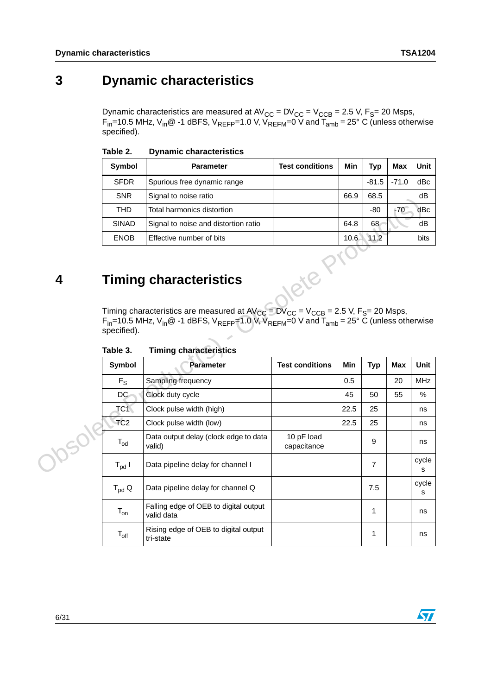# <span id="page-5-0"></span>**3 Dynamic characteristics**

Dynamic characteristics are measured at  $\text{AV}_{\text{CC}} = \text{DV}_{\text{CC}} = \text{V}_{\text{CCB}} = 2.5 \text{ V}, \text{F}_{\text{S}} = 20 \text{ Msps},$  $\mathsf{F}_{\mathsf{in}}$ =10.5 MHz, V<sub>in</sub>@ -1 dBFS, V<sub>REFP</sub>=1.0 V, V<sub>REFM</sub>=0 V and T<sub>amb</sub> = 25° C (unless otherwise specified).

| Symbol       | <b>Parameter</b>                                                                                                                                      | <b>Test conditions</b> | Min  | Typ     | Max     | Unit        |
|--------------|-------------------------------------------------------------------------------------------------------------------------------------------------------|------------------------|------|---------|---------|-------------|
| <b>SFDR</b>  | Spurious free dynamic range                                                                                                                           |                        |      | $-81.5$ | $-71.0$ | dBc         |
| <b>SNR</b>   | Signal to noise ratio                                                                                                                                 |                        | 66.9 | 68.5    |         | dB          |
| <b>THD</b>   | Total harmonics distortion                                                                                                                            |                        |      | -80     | $-70$   | dBc         |
| <b>SINAD</b> | Signal to noise and distortion ratio                                                                                                                  |                        | 64.8 | 68      |         | dB          |
| <b>ENOB</b>  | Effective number of bits                                                                                                                              |                        | 10.6 | 11.2    |         | <b>bits</b> |
|              | <b>Timing characteristics</b><br>.<br>the contract of the contract of the contract of the contract of the contract of the contract of the contract of | . . <i>.</i>           |      |         |         |             |

#### Table 2 **Dynamic characteristics**

# <span id="page-5-1"></span>**4 Timing characteristics**

|             | ᄓᄞ                                                                                                                                                                                                                                                                       | סוואז שפוטודטו ואוואָוט                             |                           | ∪∪.ט       | ∪∪.∪           |            | uυ         |  |  |  |
|-------------|--------------------------------------------------------------------------------------------------------------------------------------------------------------------------------------------------------------------------------------------------------------------------|-----------------------------------------------------|---------------------------|------------|----------------|------------|------------|--|--|--|
|             | <b>THD</b>                                                                                                                                                                                                                                                               | Total harmonics distortion                          |                           |            | $-80$          | $-70$      | dBc        |  |  |  |
|             | <b>SINAD</b>                                                                                                                                                                                                                                                             | Signal to noise and distortion ratio                |                           | 64.8       | 68             |            | dB         |  |  |  |
|             | <b>ENOB</b>                                                                                                                                                                                                                                                              | Effective number of bits                            |                           | 10.6       | 11.2           |            | bits       |  |  |  |
|             |                                                                                                                                                                                                                                                                          |                                                     |                           |            |                |            |            |  |  |  |
| 4           |                                                                                                                                                                                                                                                                          | <b>Timing characteristics</b>                       |                           |            |                |            |            |  |  |  |
|             |                                                                                                                                                                                                                                                                          |                                                     |                           |            |                |            |            |  |  |  |
|             | Timing characteristics are measured at $AV_{CC} = DV_{CC} = V_{CCB} = 2.5$ V, F <sub>S</sub> = 20 Msps,<br>$F_{in}$ =10.5 MHz, V <sub>in</sub> @ -1 dBFS, V <sub>REFP</sub> =1.0 V, V <sub>REFM</sub> =0 V and T <sub>amb</sub> = 25° C (unless otherwise<br>specified). |                                                     |                           |            |                |            |            |  |  |  |
|             | Table 3.                                                                                                                                                                                                                                                                 | <b>Timing characteristics</b>                       |                           |            |                |            |            |  |  |  |
|             | Symbol                                                                                                                                                                                                                                                                   | <b>Parameter</b>                                    | <b>Test conditions</b>    | <b>Min</b> | <b>Typ</b>     | <b>Max</b> | Unit       |  |  |  |
|             | $F_S$                                                                                                                                                                                                                                                                    | Sampling frequency                                  |                           | 0.5        |                | 20         | <b>MHz</b> |  |  |  |
|             | DC                                                                                                                                                                                                                                                                       | Clock duty cycle                                    |                           | 45         | 50             | 55         | $\%$       |  |  |  |
|             | TC1                                                                                                                                                                                                                                                                      | Clock pulse width (high)                            |                           | 22.5       | 25             |            | ns         |  |  |  |
|             | TC <sub>2</sub>                                                                                                                                                                                                                                                          | Clock pulse width (low)                             |                           | 22.5       | 25             |            | ns         |  |  |  |
| <b>1050</b> | $T_{od}$                                                                                                                                                                                                                                                                 | Data output delay (clock edge to data<br>valid)     | 10 pF load<br>capacitance |            | 9              |            | ns         |  |  |  |
|             | $T_{\text{pd}}$ l                                                                                                                                                                                                                                                        | Data pipeline delay for channel I                   |                           |            | $\overline{7}$ |            | cycle<br>s |  |  |  |
|             | $T_{\text{pd}}$ Q                                                                                                                                                                                                                                                        | Data pipeline delay for channel Q                   |                           |            | 7.5            |            | cycle<br>s |  |  |  |
|             | $T_{on}$                                                                                                                                                                                                                                                                 | Falling edge of OEB to digital output<br>valid data |                           |            | 1              |            | ns         |  |  |  |
|             | $T_{\rm off}$                                                                                                                                                                                                                                                            | Rising edge of OEB to digital output<br>tri-state   |                           |            | 1              |            | ns         |  |  |  |

Table 3. **Timing characteristics** 

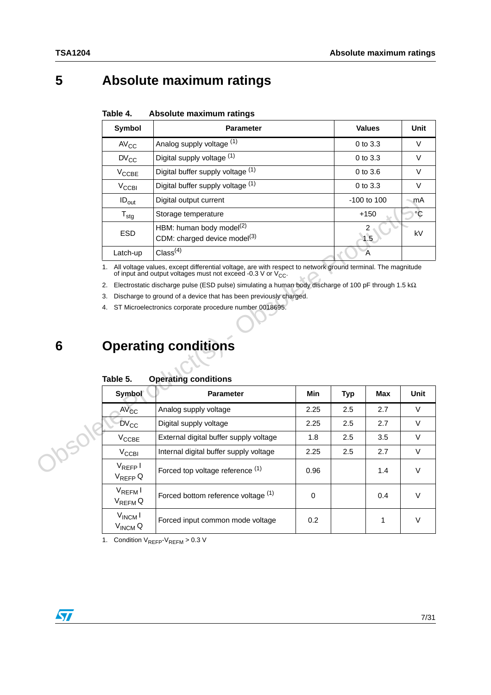# <span id="page-6-0"></span>**5 Absolute maximum ratings**

| Table 4. | Absolute maximum ratings |  |
|----------|--------------------------|--|
|          |                          |  |

| Symbol                      | <b>Parameter</b>                                                        | <b>Values</b>   | Unit   |
|-----------------------------|-------------------------------------------------------------------------|-----------------|--------|
| $AV_{CC}$                   | Analog supply voltage (1)                                               | $0$ to $3.3$    | $\vee$ |
| $DV_{CC}$                   | Digital supply voltage (1)                                              | $0$ to $3.3$    | $\vee$ |
| $V_{\text{CCBE}}$           | Digital buffer supply voltage (1)                                       | $0$ to $3.6$    | $\vee$ |
| $V_{\rm CCBI}$              | Digital buffer supply voltage (1)                                       | $0$ to $3.3$    | $\vee$ |
| $ID_{out}$                  | Digital output current                                                  | $-100$ to $100$ | ∽mA    |
| $\mathsf{T}_{\textsf{stg}}$ | Storage temperature                                                     | $+150$          | °С     |
| <b>ESD</b>                  | HBM: human body model $(2)$<br>CDM: charged device model <sup>(3)</sup> | 2<br>1.5        | kV     |
| Latch-up                    | Class <sup>(4)</sup>                                                    | Α               |        |

|        | $ID_{out}$<br>Digital output current                                                                                                                                                |                                                                                                              |                       | -100 to 100    |            | mA          |  |  |
|--------|-------------------------------------------------------------------------------------------------------------------------------------------------------------------------------------|--------------------------------------------------------------------------------------------------------------|-----------------------|----------------|------------|-------------|--|--|
|        | $T_{\text{stg}}$                                                                                                                                                                    | Storage temperature                                                                                          |                       |                | $+150$     | $\circ$ C   |  |  |
|        | <b>ESD</b>                                                                                                                                                                          | HBM: human body model <sup>(2)</sup><br>CDM: charged device model <sup>(3)</sup>                             | $\overline{2}$<br>1.5 | kV             |            |             |  |  |
|        | Latch-up                                                                                                                                                                            | Class <sup>(4)</sup>                                                                                         |                       | $\overline{A}$ |            |             |  |  |
|        | 1. All voltage values, except differential voltage, are with respect to network ground terminal. The magnitude<br>of input and output voltages must not exceed -0.3 V or $V_{CC}$ . |                                                                                                              |                       |                |            |             |  |  |
|        | 2.                                                                                                                                                                                  | Electrostatic discharge pulse (ESD pulse) simulating a human body discharge of 100 pF through 1.5 k $\Omega$ |                       |                |            |             |  |  |
|        | 3.                                                                                                                                                                                  | Discharge to ground of a device that has been previously charged.                                            |                       |                |            |             |  |  |
|        | 4.                                                                                                                                                                                  | ST Microelectronics corporate procedure number 0018695.                                                      |                       |                |            |             |  |  |
|        |                                                                                                                                                                                     |                                                                                                              |                       |                |            |             |  |  |
| 6      |                                                                                                                                                                                     | <b>Operating conditions</b>                                                                                  |                       |                |            |             |  |  |
|        | Table 5.                                                                                                                                                                            | <b>Operating conditions</b>                                                                                  |                       |                |            |             |  |  |
|        | Symbol                                                                                                                                                                              | <b>Parameter</b>                                                                                             | <b>Min</b>            | <b>Typ</b>     | <b>Max</b> | <b>Unit</b> |  |  |
|        | $AV_{CC}$                                                                                                                                                                           | Analog supply voltage                                                                                        | 2.25                  | 2.5            | 2.7        | V           |  |  |
|        | <b>DV<sub>CC</sub></b>                                                                                                                                                              | Digital supply voltage                                                                                       | 2.25                  | 2.5            | 2.7        | $\vee$      |  |  |
|        | $V_{\text{CCBE}}$                                                                                                                                                                   | External digital buffer supply voltage                                                                       | 1.8                   | 2.5            | 3.5        | $\vee$      |  |  |
|        | $V_{\text{CCBI}}$                                                                                                                                                                   | Internal digital buffer supply voltage                                                                       | 2.25                  | 2.5            | 2.7        | $\vee$      |  |  |
| JOSOK, | $V_{REFP}$<br>$V_{REFP}$ Q                                                                                                                                                          | Forced top voltage reference (1)                                                                             | 0.96                  |                | 1.4        | $\vee$      |  |  |
|        | $V_{REFM}$<br>V <sub>REFM</sub> Q                                                                                                                                                   | Forced bottom reference voltage (1)                                                                          | $\Omega$              |                | 0.4        | $\vee$      |  |  |

#### <span id="page-6-2"></span><span id="page-6-1"></span>Table 5 **Table 5. Operating conditions**

1. Condition  $V_{REFP}$ - $V_{REFM}$  > 0.3 V

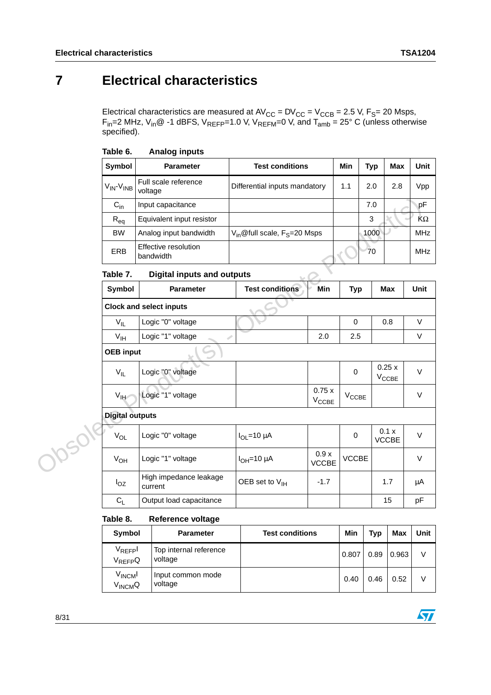$\sqrt{2}$ 

# <span id="page-7-0"></span>**7 Electrical characteristics**

Electrical characteristics are measured at  $\text{AV}_{\text{CC}} = \text{DV}_{\text{CC}} = \text{V}_{\text{CCB}} = 2.5 \text{ V}, F_{\text{S}} = 20 \text{ Msps},$  $\mathsf{F}_{\mathsf{in}}$ =2 MHz, V<sub>in</sub>@ -1 dBFS, V<sub>REFP</sub>=1.0 V, V<sub>REFM</sub>=0 V, and T<sub>amb</sub> = 25° C (unless otherwise specified).

| <b>Symbol</b>                             | <b>Parameter</b>                  | <b>Test conditions</b>                               | Min | Typ  | Max | Unit       |
|-------------------------------------------|-----------------------------------|------------------------------------------------------|-----|------|-----|------------|
| V <sub>IN</sub> -V <sub>INB</sub> voltage | Full scale reference              | Differential inputs mandatory                        | 1.1 | 2.0  | 2.8 | Vpp        |
| $C_{in}$                                  | Input capacitance                 |                                                      |     | 7.0  |     | рF         |
| $R_{eq}$                                  | Equivalent input resistor         |                                                      |     | 3    |     | KΩ         |
| <b>BW</b>                                 | Analog input bandwidth            | V <sub>in</sub> @full scale, F <sub>S</sub> =20 Msps |     | 1000 |     | <b>MHz</b> |
| <b>ERB</b>                                | Effective resolution<br>bandwidth |                                                      |     | 70   |     | <b>MHz</b> |

#### Table 7. **Digital inputs and outputs**

| $C_{in}$           | Input capacitance                 |                                               |                            |                   | 7.0                        | pF         |
|--------------------|-----------------------------------|-----------------------------------------------|----------------------------|-------------------|----------------------------|------------|
| $R_{eq}$           | Equivalent input resistor         |                                               |                            |                   | 3                          | KΩ         |
| <b>BW</b>          | Analog input bandwidth            | $V_{in}$ @full scale, F <sub>S</sub> =20 Msps |                            |                   | 1000                       | <b>MHz</b> |
| <b>ERB</b>         | Effective resolution<br>bandwidth |                                               |                            |                   | 70                         | <b>MHz</b> |
| Table 7.           | <b>Digital inputs and outputs</b> |                                               |                            |                   |                            |            |
| Symbol             | <b>Parameter</b>                  | <b>Test conditions</b>                        | Min                        | <b>Typ</b>        | Max                        | Unit       |
|                    | <b>Clock and select inputs</b>    |                                               |                            |                   |                            |            |
| $V_{IL}$           | Logic "0" voltage                 |                                               |                            | 0                 | 0.8                        | $\vee$     |
| $V_{\text{IH}}$    | Logic "1" voltage                 | ۶                                             | 2.0                        | 2.5               |                            | $\vee$     |
| <b>OEB</b> input   |                                   |                                               |                            |                   |                            |            |
| $V_{IL}$           | Logic "0" voltage                 |                                               |                            | $\mathbf 0$       | 0.25x<br>$V_{\text{CCBE}}$ | $\vee$     |
| $V_{\text{IH}}$    | Logic "1" voltage                 |                                               | 0.75x<br>$V_{\text{CCBE}}$ | $V_{\text{CCBE}}$ |                            | $\vee$     |
|                    | <b>Digital outputs</b>            |                                               |                            |                   |                            |            |
| $V_{OL}$           | Logic "0" voltage                 | $I_{\text{OI}} = 10 \mu A$                    |                            | $\pmb{0}$         | 0.1 x<br><b>VCCBE</b>      | $\vee$     |
| JOSOK,<br>$V_{OH}$ | Logic "1" voltage                 | $I_{OH} = 10 \mu A$                           | 0.9x<br><b>VCCBE</b>       | <b>VCCBE</b>      |                            | $\vee$     |
| $I_{OZ}$           | High impedance leakage<br>current | OEB set to $V_{\text{IH}}$                    | $-1.7$                     |                   | 1.7                        | μA         |
| $C_L$              | Output load capacitance           |                                               |                            |                   | 15                         | pF         |

#### Table 8. **Reference voltage**

| Symbol                                     | <b>Parameter</b>                  | <b>Test conditions</b> | Min   | <b>Typ</b> | <b>Max</b> | Unit |
|--------------------------------------------|-----------------------------------|------------------------|-------|------------|------------|------|
| $V_{REF}$ pl<br>V <sub>REFP</sub> Q        | Top internal reference<br>voltage |                        | 0.807 | 0.89       | 0.963      | v    |
| V <sub>INCM</sub> I<br>V <sub>INCM</sub> Q | Input common mode<br>voltage      |                        | 0.40  | 0.46       | 0.52       | V    |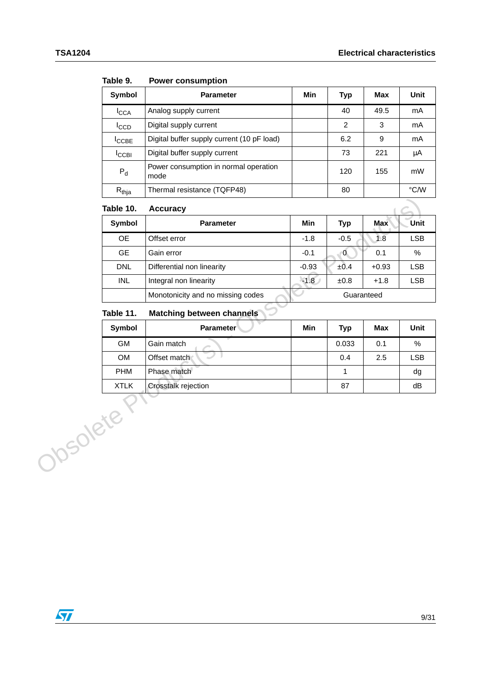| Symbol            | <b>Parameter</b>                              | Min | <b>Typ</b>     | Max  | Unit |
|-------------------|-----------------------------------------------|-----|----------------|------|------|
| <b>I</b> CCA      | Analog supply current                         |     | 40             | 49.5 | mA   |
| <sup>I</sup> CCD  | Digital supply current                        |     | $\overline{2}$ | 3    | mA   |
| <sup>I</sup> CCBE | Digital buffer supply current (10 pF load)    |     | 6.2            | 9    | mA   |
| <b>ICCBI</b>      | Digital buffer supply current                 |     | 73             | 221  | μA   |
| $P_{d}$           | Power consumption in normal operation<br>mode |     | 120            | 155  | mW   |
| $R_{thja}$        | Thermal resistance (TQFP48)                   |     | 80             |      | °C/W |

Table 9. **Power consumption** 

#### Table 10. **Accuracy**

| Table 10.   | <b>Accuracy</b>                   |         |                |            | ÷          |
|-------------|-----------------------------------|---------|----------------|------------|------------|
| Symbol      | <b>Parameter</b>                  | Min     | <b>Typ</b>     | Max        | Unit       |
| <b>OE</b>   | Offset error                      | $-1.8$  | $-0.5$         | 1.8        | <b>LSB</b> |
| <b>GE</b>   | Gain error                        | $-0.1$  | $\overline{0}$ | 0.1        | $\%$       |
| <b>DNL</b>  | Differential non linearity        | $-0.93$ | $\pm 0.4$      | $+0.93$    | <b>LSB</b> |
| <b>INL</b>  | Integral non linearity            | $-1.8$  | $\pm 0.8$      | $+1.8$     | <b>LSB</b> |
|             | Monotonicity and no missing codes |         |                | Guaranteed |            |
| Table 11.   | Matching between channels         |         |                |            |            |
| Symbol      | <b>Parameter</b>                  | Min     | <b>Typ</b>     | Max        | Unit       |
| GM          | Gain match                        |         | 0.033          | 0.1        | %          |
| OM          | Offset match                      |         | 0.4            | 2.5        | <b>LSB</b> |
| <b>PHM</b>  | Phase match                       |         | 1              |            | dg         |
| <b>XTLK</b> | Crosstalk rejection               |         | 87             |            | dB         |
| Josolete    |                                   |         |                |            |            |

#### **Table 11. Matching between channels**

| Symbol      | <b>Parameter</b>    | Min | Typ   | <b>Max</b> | <b>Unit</b> |
|-------------|---------------------|-----|-------|------------|-------------|
| <b>GM</b>   | Gain match          |     | 0.033 | 0.1        | %           |
| <b>OM</b>   | Offset match        |     | 0.4   | 2.5        | <b>LSB</b>  |
| <b>PHM</b>  | Phase match         |     |       |            | dg          |
| <b>XTLK</b> | Crosstalk rejection |     | 87    |            | dB          |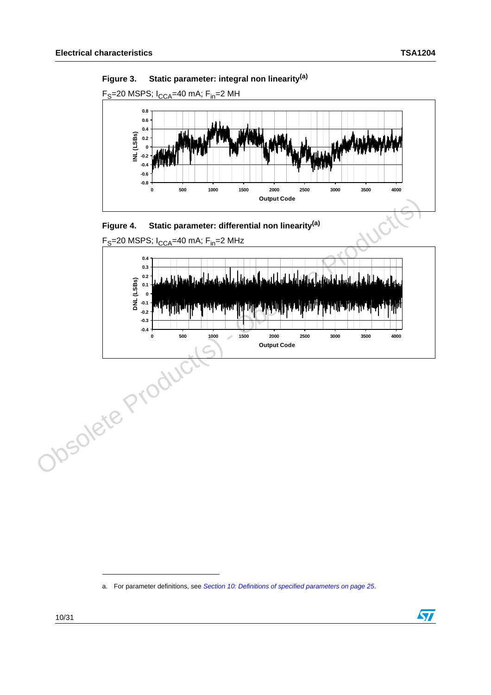





 $F_S$ =20 MSPS;  $I_{CCA}$ =40 mA;  $F_{in}$ =2 MHz



<span id="page-9-0"></span>a. For parameter definitions, see *[Section 10: Definitions of specified parameters on page 25](#page-24-0)*.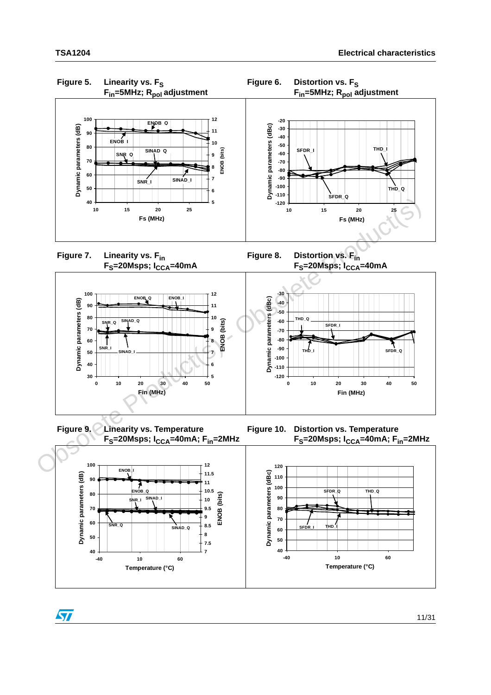$\sqrt{2}$ 



**Figure 7. Linearity vs. Fin** F<sub>S</sub>=20Msps; I<sub>CCA</sub>=40mA **Figure 8. Distortion vs. Fin**



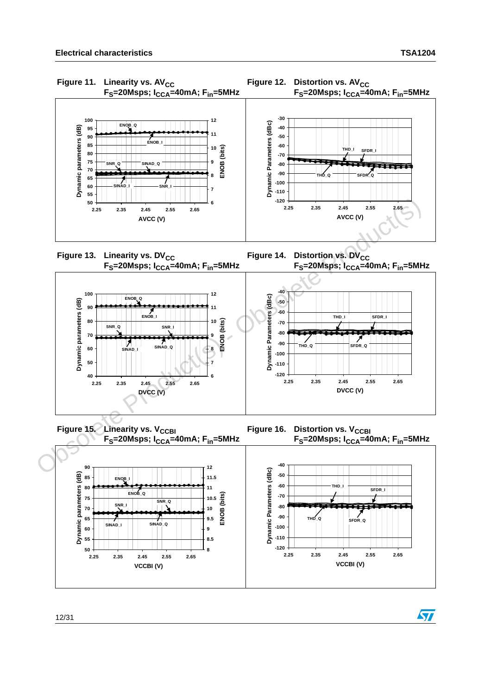

12/31

**50 55 60** **SINAD\_I**

**2.25 2.35 2.45 2.55 2.65 VCCBI (V)**

**SINAD\_Q**

**8 8.5 9**

**-120 -110 -100**

> **2.25 2.35 2.45 2.55 2.65 VCCBI (V)**

**SFDR\_Q**

 $\sqrt{2}$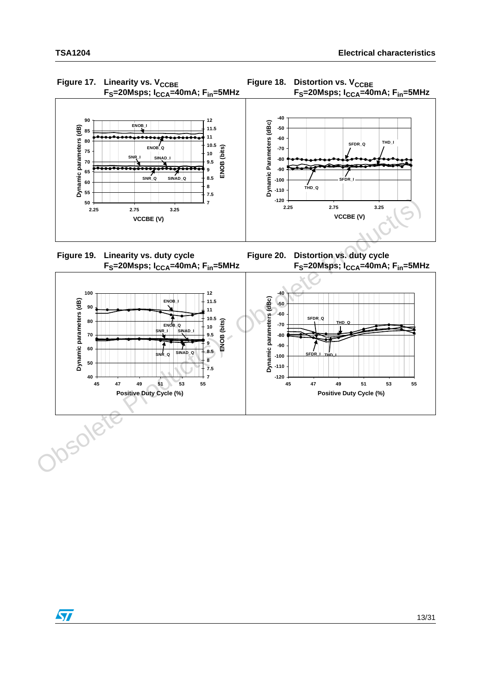

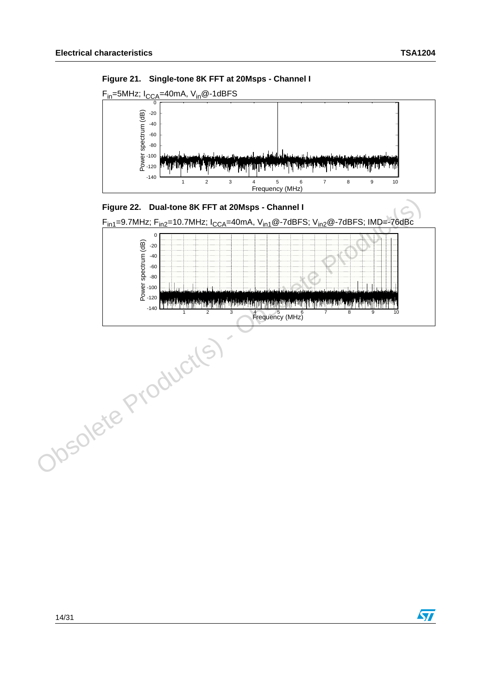$\sqrt{2}$ 









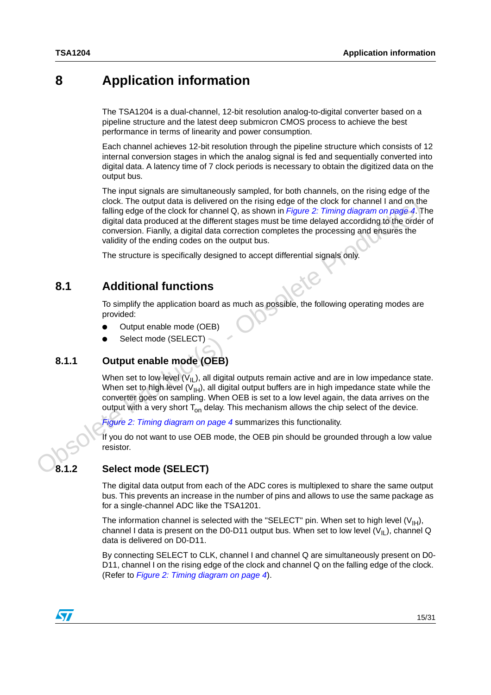## <span id="page-14-0"></span>**8 Application information**

The TSA1204 is a dual-channel, 12-bit resolution analog-to-digital converter based on a pipeline structure and the latest deep submicron CMOS process to achieve the best performance in terms of linearity and power consumption.

Each channel achieves 12-bit resolution through the pipeline structure which consists of 12 internal conversion stages in which the analog signal is fed and sequentially converted into digital data. A latency time of 7 clock periods is necessary to obtain the digitized data on the output bus.

The input signals are simultaneously sampled, for both channels, on the rising edge of the clock. The output data is delivered on the rising edge of the clock for channel I and on the falling edge of the clock for channel Q, as shown in *Figure 2: Timing diagram on page 4*. The digital data produced at the different stages must be time delayed accordidng to the order of conversion. Fianlly, a digital data correction completes the processing and ensures the validity of the ending codes on the output bus. clock. The output data is delivered on the rising edge of the clock for channel land on the tractation of the clock of channel Cass than in  $Figure 2$ . Timing diagram on page 4. T<br>digital data produced at the different stages

The structure is specifically designed to accept differential signals only.

### <span id="page-14-1"></span>**8.1 Additional functions**

To simplify the application board as much as possible, the following operating modes are provided:

- Output enable mode (OEB)
- Select mode (SELECT)

### <span id="page-14-2"></span>**8.1.1 Output enable mode (OEB)**

When set to low level  $(\nabla_{\mathsf{IL}})$ , all digital outputs remain active and are in low impedance state. When set to high level  $(V_{H})$ , all digital output buffers are in high impedance state while the converter goes on sampling. When OEB is set to a low level again, the data arrives on the output with a very short  $T_{on}$  delay. This mechanism allows the chip select of the device.

*Figure 2: Timing diagram on page 4* summarizes this functionality.

If you do not want to use OEB mode, the OEB pin should be grounded through a low value resistor.

### <span id="page-14-3"></span>**8.1.2 Select mode (SELECT)**

The digital data output from each of the ADC cores is multiplexed to share the same output bus. This prevents an increase in the number of pins and allows to use the same package as for a single-channel ADC like the TSA1201.

The information channel is selected with the "SELECT" pin. When set to high level  $(V_{H})$ , channel I data is present on the D0-D11 output bus. When set to low level  $(V_{II})$ , channel Q data is delivered on D0-D11.

By connecting SELECT to CLK, channel I and channel Q are simultaneously present on D0- D11, channel I on the rising edge of the clock and channel Q on the falling edge of the clock. (Refer to *[Figure 2: Timing diagram on page 4](#page-3-1)*).

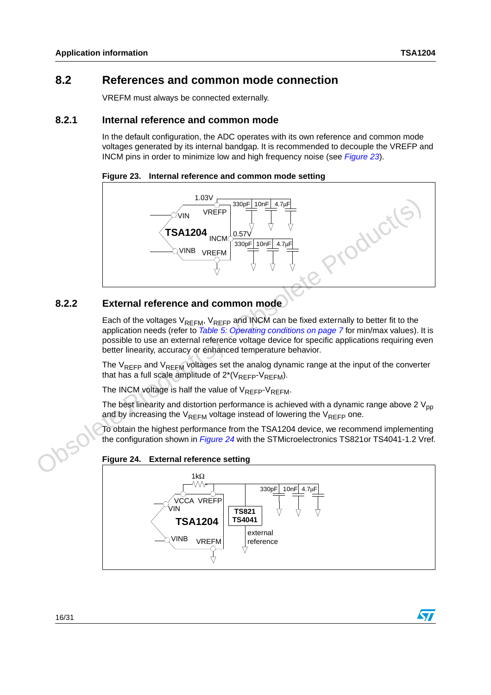$\sqrt{}$ 

### <span id="page-15-0"></span>**8.2 References and common mode connection**

VREFM must always be connected externally.

### <span id="page-15-1"></span>**8.2.1 Internal reference and common mode**

In the default configuration, the ADC operates with its own reference and common mode voltages generated by its internal bandgap. It is recommended to decouple the VREFP and INCM pins in order to minimize low and high frequency noise (see *[Figure 23](#page-15-3)*).

<span id="page-15-3"></span>



### <span id="page-15-2"></span>**8.2.2 External reference and common mode**

Each of the voltages  $V_{REFM}$ ,  $V_{REFP}$  and INCM can be fixed externally to better fit to the application needs (refer to *Table 5: Operating conditions on page 7* for min/max values). It is possible to use an external reference voltage device for specific applications requiring even better linearity, accuracy or enhanced temperature behavior.

The  $V_{RFFP}$  and  $V_{RFFM}$  voltages set the analog dynamic range at the input of the converter that has a full scale amplitude of  $2^*(V_{REFP}-V_{REFM})$ .

The INCM voltage is half the value of  $V_{RFFP}$ - $V_{RFFM}$ .

The best linearity and distortion performance is achieved with a dynamic range above 2  $V_{\text{nn}}$ and by increasing the  $V_{RFFM}$  voltage instead of lowering the  $V_{RFFP}$  one.

To obtain the highest performance from the TSA1204 device, we recommend implementing the configuration shown in *Figure 24* with the STMicroelectronics TS821or TS4041-1.2 Vref.

#### <span id="page-15-4"></span>**Figure 24. External reference setting**

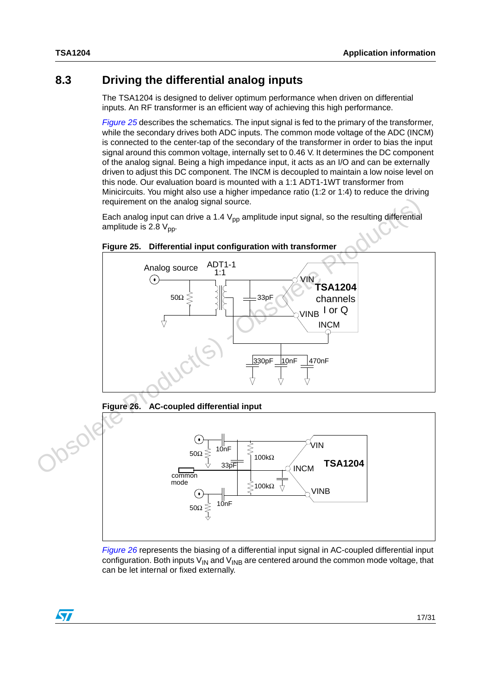### <span id="page-16-0"></span>**8.3 Driving the differential analog inputs**

The TSA1204 is designed to deliver optimum performance when driven on differential inputs. An RF transformer is an efficient way of achieving this high performance.

*[Figure 25](#page-16-1)* describes the schematics. The input signal is fed to the primary of the transformer, while the secondary drives both ADC inputs. The common mode voltage of the ADC (INCM) is connected to the center-tap of the secondary of the transformer in order to bias the input signal around this common voltage, internally set to 0.46 V. It determines the DC component of the analog signal. Being a high impedance input, it acts as an I/O and can be externally driven to adjust this DC component. The INCM is decoupled to maintain a low noise level on this node. Our evaluation board is mounted with a 1:1 ADT1-1WT transformer from Minicircuits. You might also use a higher impedance ratio (1:2 or 1:4) to reduce the driving requirement on the analog signal source.

Each analog input can drive a 1.4  $V_{\text{DD}}$  amplitude input signal, so the resulting differential amplitude is 2.8  $V_{\text{pp}}$ .



<span id="page-16-1"></span>

<span id="page-16-2"></span>**Figure 26. AC-coupled differential input** 



*[Figure 26](#page-16-2)* represents the biasing of a differential input signal in AC-coupled differential input configuration. Both inputs  $V_{IN}$  and  $V_{INB}$  are centered around the common mode voltage, that can be let internal or fixed externally.

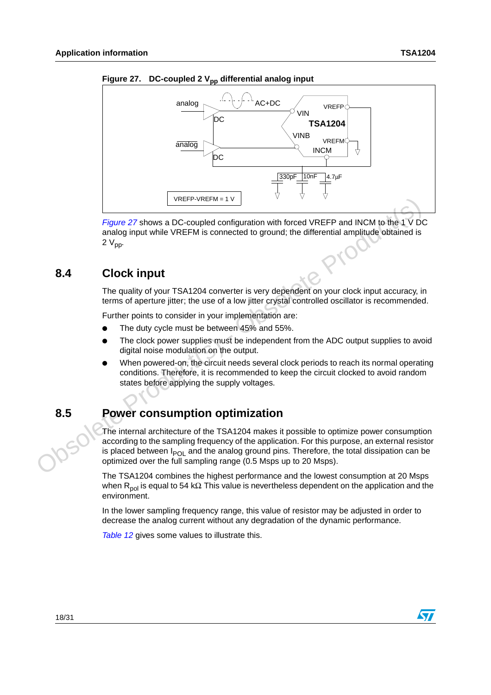

<span id="page-17-2"></span>Figure 27. DC-coupled 2 V<sub>pp</sub> differential analog input

*Figure 27* shows a DC-coupled configuration with forced VREFP and INCM to the 1 V DC analog input while VREFM is connected to ground; the differential amplitude obtained is 2  $V_{\text{pp}}$ .

### <span id="page-17-0"></span>**8.4 Clock input**

The quality of your TSA1204 converter is very dependent on your clock input accuracy, in terms of aperture jitter; the use of a low jitter crystal controlled oscillator is recommended.

Further points to consider in your implementation are:

- The duty cycle must be between 45% and 55%.
- The clock power supplies must be independent from the ADC output supplies to avoid digital noise modulation on the output.
- When powered-on, the circuit needs several clock periods to reach its normal operating conditions. Therefore, it is recommended to keep the circuit clocked to avoid random states before applying the supply voltages.

## <span id="page-17-1"></span>**8.5 Power consumption optimization**

The internal architecture of the TSA1204 makes it possible to optimize power consumption according to the sampling frequency of the application. For this purpose, an external resistor is placed between  $I_{POI}$  and the analog ground pins. Therefore, the total dissipation can be optimized over the full sampling range (0.5 Msps up to 20 Msps). Training that the model is considered to the sphericular the spherical spherical product and the spherical analog input while VREFM is connected to ground; the differential amplitude obtained is a  $2\,V_{\text{pp}}$ .<br> **S.4** Clo

The TSA1204 combines the highest performance and the lowest consumption at 20 Msps when R<sub>pol</sub> is equal to 54 kΩ. This value is nevertheless dependent on the application and the environment.

In the lower sampling frequency range, this value of resistor may be adjusted in order to decrease the analog current without any degradation of the dynamic performance.

*[Table 12](#page-18-2)* gives some values to illustrate this.

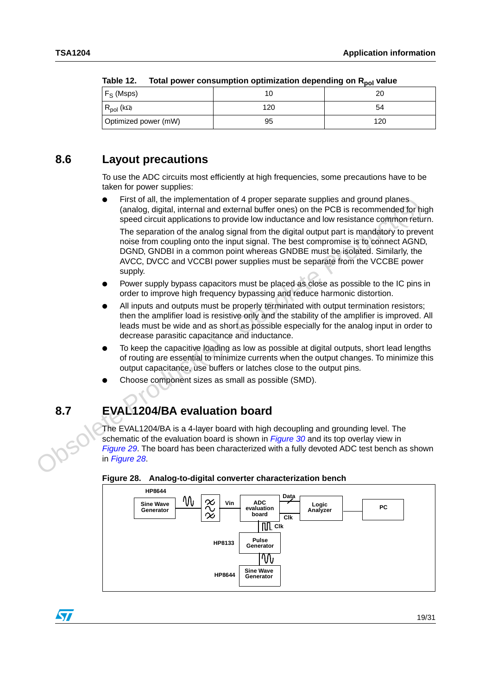| $I$ anic $I$ .<br><b>TUGH DUWER CURSUMPTION OPINING AND A GOOD DUMPER ON A NOTE AND</b> |     |     |  |  |  |  |  |
|-----------------------------------------------------------------------------------------|-----|-----|--|--|--|--|--|
| $F_S$ (Msps)                                                                            |     |     |  |  |  |  |  |
| $R_{pol}$ (kΩ)                                                                          | 120 | 54  |  |  |  |  |  |
| Optimized power (mW)                                                                    | 95  | 120 |  |  |  |  |  |

<span id="page-18-2"></span>

| Table 12. | Total power consumption optimization depending on R <sub>pol</sub> value |  |
|-----------|--------------------------------------------------------------------------|--|
|-----------|--------------------------------------------------------------------------|--|

## <span id="page-18-0"></span>**8.6 Layout precautions**

To use the ADC circuits most efficiently at high frequencies, some precautions have to be taken for power supplies:

- First of all, the implementation of 4 proper separate supplies and ground planes (analog, digital, internal and external buffer ones) on the PCB is recommended for high speed circuit applications to provide low inductance and low resistance common return. The separation of the analog signal from the digital output part is mandatory to prevent noise from coupling onto the input signal. The best compromise is to connect AGND, DGND, GNDBI in a common point whereas GNDBE must be isolated. Similarly, the AVCC, DVCC and VCCBI power supplies must be separate from the VCCBE power supply. • First of all, the implementation of 4 proper separate supplies and ground planes.<br>
(analog, digital, internal and external buller ones) on the PCB is recommended for his<br>
speed circuit applications to provide tow indu
	- Power supply bypass capacitors must be placed as close as possible to the IC pins in order to improve high frequency bypassing and reduce harmonic distortion.
	- All inputs and outputs must be properly terminated with output termination resistors; then the amplifier load is resistive only and the stability of the amplifier is improved. All leads must be wide and as short as possible especially for the analog input in order to decrease parasitic capacitance and inductance.
	- To keep the capacitive loading as low as possible at digital outputs, short lead lengths of routing are essential to minimize currents when the output changes. To minimize this output capacitance, use buffers or latches close to the output pins.
	- Choose component sizes as small as possible (SMD).

## <span id="page-18-1"></span>**8.7 EVAL1204/BA evaluation board**

The EVAL1204/BA is a 4-layer board with high decoupling and grounding level. The schematic of the evaluation board is shown in *Figure 30* and its top overlay view in *Figure 29*. The board has been characterized with a fully devoted ADC test bench as shown in *Figure 28*.



<span id="page-18-3"></span>**Figure 28. Analog-to-digital converter characterization bench**

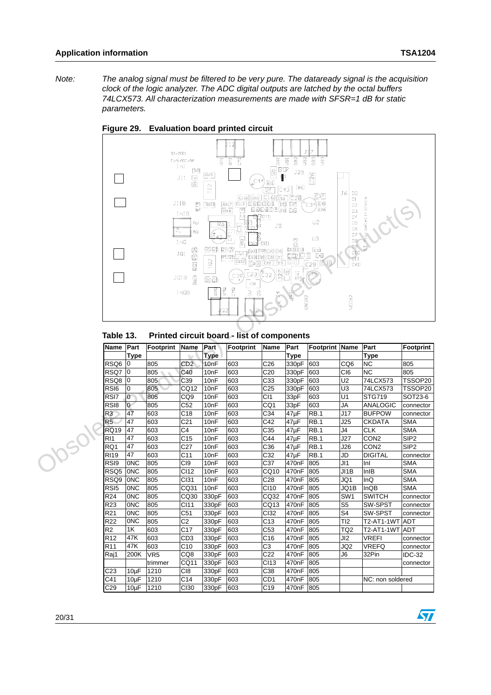$\sqrt{2}$ 

*Note: The analog signal must be filtered to be very pure. The dataready signal is the acquisition clock of the logic analyzer. The ADC digital outputs are latched by the octal buffers 74LCX573. All characterization measurements are made with SFSR=1 dB for static parameters.*



#### <span id="page-19-0"></span>**Figure 29. Evaluation board printed circuit**

#### **Table 13. Printed circuit board - list of components**

|                                                                                      |                                                                                                           | 巴马<br>AU<br>AG<br>$E\overline{\text{S}}\overline{\text{M}}$<br>2<br>冒 | F <sub>ss19</sub><br>RSOB<br>TQ2<br>Esab<br>βd          | 困<br>ऴ<br>டி⊐ப்∄<br>ச<br>$\sqrt{200}$<br>$\cup$<br><b>Corp</b><br>$\overline{[0932]}$<br>C23<br>c36<br>C31<br>CMO<br>$\ensuremath{\mathrel{\text{Z}}}\xspace$ | J9<br>$\overline{4}$<br>$rac{X}{C}$                                                          | $\Xi$<br>ED3 C13<br><b>IMS</b><br>$\mathbb{E}$                        | $\sim$<br>C26<br>U2<br>U3<br><b>C33</b>                                                                                                                                                                          | D1<br>D <sub>2</sub><br>D <sub>3</sub><br>D <sub>4</sub><br>D <sub>5</sub><br>D6<br>D <sub>2</sub><br>D <sub>8</sub><br>D9<br>D1O<br>D11<br>CKD<br>VCCB2 | oelectronics<br>់ប៉<br>έ<br>$\frac{1}{5}$ | S                                         |
|--------------------------------------------------------------------------------------|-----------------------------------------------------------------------------------------------------------|-----------------------------------------------------------------------|---------------------------------------------------------|---------------------------------------------------------------------------------------------------------------------------------------------------------------|----------------------------------------------------------------------------------------------|-----------------------------------------------------------------------|------------------------------------------------------------------------------------------------------------------------------------------------------------------------------------------------------------------|----------------------------------------------------------------------------------------------------------------------------------------------------------|-------------------------------------------|-------------------------------------------|
|                                                                                      |                                                                                                           |                                                                       |                                                         |                                                                                                                                                               |                                                                                              |                                                                       |                                                                                                                                                                                                                  |                                                                                                                                                          |                                           | Footprint                                 |
|                                                                                      |                                                                                                           |                                                                       |                                                         |                                                                                                                                                               |                                                                                              |                                                                       |                                                                                                                                                                                                                  |                                                                                                                                                          |                                           |                                           |
| ١o                                                                                   | 805                                                                                                       | CD2                                                                   | 10 <sub>nF</sub>                                        | 603                                                                                                                                                           | C <sub>26</sub>                                                                              | 330pF                                                                 | 603                                                                                                                                                                                                              | CQ <sub>6</sub>                                                                                                                                          | <b>NC</b>                                 | 805                                       |
| 0                                                                                    | 805                                                                                                       | C40                                                                   | 10 <sub>nF</sub>                                        | 603                                                                                                                                                           | C <sub>20</sub>                                                                              |                                                                       |                                                                                                                                                                                                                  | CI <sub>6</sub>                                                                                                                                          | <b>NC</b>                                 | 805                                       |
| 0                                                                                    | 805                                                                                                       | C39                                                                   | 10 <sub>nF</sub>                                        | 603                                                                                                                                                           | C33                                                                                          | 330pF                                                                 | 603                                                                                                                                                                                                              | U <sub>2</sub>                                                                                                                                           | 74LCX573                                  | TSSOP20                                   |
| 0                                                                                    | 805                                                                                                       | CQ12                                                                  | 10 <sub>nF</sub>                                        | 603                                                                                                                                                           |                                                                                              | 330pF                                                                 | 603                                                                                                                                                                                                              | U <sub>3</sub>                                                                                                                                           |                                           | TSSOP20                                   |
| $\mathbf 0$                                                                          | 805                                                                                                       | CQ9                                                                   | 10 <sub>nF</sub>                                        | 603                                                                                                                                                           | CI1                                                                                          | 33pF                                                                  | 603                                                                                                                                                                                                              | U1                                                                                                                                                       |                                           | SOT23-6                                   |
| $\overline{0}$                                                                       | 805                                                                                                       | C52                                                                   | 10 <sub>nF</sub>                                        | 603                                                                                                                                                           | CQ1                                                                                          | 33pF                                                                  | 603                                                                                                                                                                                                              | <b>JA</b>                                                                                                                                                | <b>ANALOGIC</b>                           | connector                                 |
| 47                                                                                   | 603                                                                                                       | C <sub>18</sub>                                                       | 10 <sub>nF</sub>                                        | 603                                                                                                                                                           | C34                                                                                          | 47µF                                                                  | RB.1                                                                                                                                                                                                             | J17                                                                                                                                                      | <b>BUFPOW</b>                             | connector                                 |
| 47                                                                                   | 603                                                                                                       | C <sub>21</sub>                                                       | 10 <sub>nF</sub>                                        | 603                                                                                                                                                           | C42                                                                                          | 47µF                                                                  |                                                                                                                                                                                                                  | J25                                                                                                                                                      | <b>CKDATA</b>                             | <b>SMA</b>                                |
| 47                                                                                   | 603                                                                                                       | C4                                                                    | 10 <sub>nF</sub>                                        | 603                                                                                                                                                           | C35                                                                                          | 47µF                                                                  | <b>RB.1</b>                                                                                                                                                                                                      | J4                                                                                                                                                       | <b>CLK</b>                                | <b>SMA</b>                                |
| 47                                                                                   | 603                                                                                                       | $\overline{C15}$                                                      | 10 <sub>nF</sub>                                        | 603                                                                                                                                                           | C44                                                                                          | 47µF                                                                  | <b>RB.1</b>                                                                                                                                                                                                      | J27                                                                                                                                                      | CON <sub>2</sub>                          | SIP2                                      |
| 47                                                                                   | 603                                                                                                       | C <sub>27</sub>                                                       | 10 <sub>nF</sub>                                        | 603                                                                                                                                                           | C36                                                                                          | 47µF                                                                  | <b>RB.1</b>                                                                                                                                                                                                      | J26                                                                                                                                                      | CON <sub>2</sub>                          | SIP <sub>2</sub>                          |
| 47                                                                                   | 603                                                                                                       | C11                                                                   | 10 <sub>nF</sub>                                        | 603                                                                                                                                                           | C32                                                                                          | 47µF                                                                  | <b>RB.1</b>                                                                                                                                                                                                      | JD                                                                                                                                                       | <b>DIGITAL</b>                            | connector                                 |
| 0 <sub>NC</sub>                                                                      | 805                                                                                                       | C <sub>I9</sub>                                                       | 10 <sub>nF</sub>                                        | 603                                                                                                                                                           | C37                                                                                          | 470nF                                                                 | 805                                                                                                                                                                                                              | J11                                                                                                                                                      | Inl                                       | <b>SMA</b>                                |
| ONC                                                                                  | 805                                                                                                       | CI12                                                                  | 10 <sub>nF</sub>                                        | 603                                                                                                                                                           | CQ10                                                                                         | 470nF                                                                 | 805                                                                                                                                                                                                              | JI1B                                                                                                                                                     | InIB                                      | <b>SMA</b>                                |
| 0 <sub>NC</sub>                                                                      | 805                                                                                                       | Cl31                                                                  | 10 <sub>nF</sub>                                        | 603                                                                                                                                                           | C28                                                                                          | 470nF                                                                 | 805                                                                                                                                                                                                              | JQ1                                                                                                                                                      | InQ                                       | <b>SMA</b>                                |
| 0 <sub>N</sub> C                                                                     | 805                                                                                                       | CQ31                                                                  | 10 <sub>nF</sub>                                        | 603                                                                                                                                                           | CI10                                                                                         | 470 <sub>n</sub> F                                                    | 805                                                                                                                                                                                                              | JQ1B                                                                                                                                                     | InQB                                      | <b>SMA</b>                                |
| 0 <sub>NC</sub>                                                                      | 805                                                                                                       | CQ30                                                                  | 330pF                                                   | 603                                                                                                                                                           | CQ32                                                                                         | 470nF                                                                 | 805                                                                                                                                                                                                              | SW <sub>1</sub>                                                                                                                                          | <b>SWITCH</b>                             | connector                                 |
| 0 <sub>NC</sub>                                                                      | 805                                                                                                       | CI11                                                                  | 330pF                                                   | 603                                                                                                                                                           | CQ13                                                                                         | 470nF                                                                 | 805                                                                                                                                                                                                              | S <sub>5</sub>                                                                                                                                           | SW-SPST                                   | connector                                 |
| 0 <sub>NC</sub>                                                                      | 805                                                                                                       | C51                                                                   | 330pF                                                   | 603                                                                                                                                                           | CI32                                                                                         | 470nF                                                                 | 805                                                                                                                                                                                                              | S <sub>4</sub>                                                                                                                                           | SW-SPST                                   | connector                                 |
| 0 <sub>N</sub> C                                                                     | 805                                                                                                       | C <sub>2</sub>                                                        | 330pF                                                   | 603                                                                                                                                                           | C <sub>13</sub>                                                                              | 470nF                                                                 | 805                                                                                                                                                                                                              | TI2                                                                                                                                                      | T2-AT1-1WT                                | <b>ADT</b>                                |
| 1K                                                                                   | 603                                                                                                       | C17                                                                   | 330pF                                                   | 603                                                                                                                                                           | C53                                                                                          | 470nF                                                                 | 805                                                                                                                                                                                                              | TQ <sub>2</sub>                                                                                                                                          | T2-AT1-1WT                                | <b>ADT</b>                                |
| 47K                                                                                  | 603                                                                                                       | CD3                                                                   | 330pF                                                   | 603                                                                                                                                                           | C <sub>16</sub>                                                                              | 470nF                                                                 | 805                                                                                                                                                                                                              | J <sub>12</sub>                                                                                                                                          | <b>VREFI</b>                              | connector                                 |
| 47K                                                                                  | 603                                                                                                       | C10                                                                   | 330pF                                                   | 603                                                                                                                                                           | C <sub>3</sub>                                                                               | 470 <sub>n</sub> F                                                    | 805                                                                                                                                                                                                              | JQ2                                                                                                                                                      | <b>VREFQ</b>                              | connector                                 |
| 200K                                                                                 | VR <sub>5</sub>                                                                                           | CQ8                                                                   | 330pF                                                   | 603                                                                                                                                                           | C <sub>22</sub>                                                                              | 470nF                                                                 | 805                                                                                                                                                                                                              | J6                                                                                                                                                       | 32Pin                                     | <b>IDC-32</b>                             |
|                                                                                      | trimmer                                                                                                   | CQ11                                                                  | 330pF                                                   | 603                                                                                                                                                           | CI13                                                                                         | 470nF                                                                 | 805                                                                                                                                                                                                              |                                                                                                                                                          |                                           | connector                                 |
| $10\mu F$                                                                            | 1210                                                                                                      | C <sub>18</sub>                                                       | 330pF                                                   | 603                                                                                                                                                           | C38                                                                                          | 470nF                                                                 | 805                                                                                                                                                                                                              |                                                                                                                                                          |                                           |                                           |
| $10\mu F$                                                                            | 1210                                                                                                      | C14                                                                   | 330pF                                                   | 603                                                                                                                                                           | CD <sub>1</sub>                                                                              | 470nF                                                                 | 805                                                                                                                                                                                                              |                                                                                                                                                          | NC: non soldered                          |                                           |
| $10\mu F$                                                                            | 1210                                                                                                      | CI30                                                                  | 330pF                                                   | 603                                                                                                                                                           | $\overline{C}$ 19                                                                            | 470nF                                                                 | 805                                                                                                                                                                                                              |                                                                                                                                                          |                                           |                                           |
| RS <sub>I6</sub><br>RSI7<br>RS <sub>18</sub><br>RS <sub>I9</sub><br>RS <sub>I5</sub> | Table 13.<br>Part<br>Name<br>Type<br>RSQ6<br>RSQ7<br>RSQ8<br>RQ <sub>19</sub><br>RSQ5<br>RSQ <sub>9</sub> | Footprint                                                             | JI1B<br>InIB<br>5<br>InQ<br>JQ1<br>JQ1B<br>InOB<br>Name | Part<br><b>Type</b>                                                                                                                                           | $\sqrt{RST}$<br>RST8<br>Rajl<br>RSOZ<br><b>RNG</b><br>ិ<br>ក<br>D.<br>Q2<br><b>Footprint</b> | <u>∣⊖∣ г−ਥੋ</u> β†ਾ⊓<br>гоп<br>∕†ვე<br><b>Name</b><br>C <sub>25</sub> | [다]일 나는 이 다리 이 기 시간 이 기 시간 이 기 시간이 되었다.<br><u>ksor – Trondersien</u><br>Ksor – Trondersien<br>Ksor – Trondersien<br><b>COLO</b> C <sub>22</sub> CL <sub>1</sub> CO <sub>1</sub><br> ဗ္ပ<br>Part<br>Type<br>330pF | <sup>4</sup> c34)⊑39<br>$CDP$ $C19$ $C4$<br>$\lceil 29 \rceil$ C38<br>K357<br>GNDB2<br>Printed circuit board - list of components<br>603<br>RB.1         | Footprint Name                            | Part<br>Type<br>74LCX573<br><b>STG719</b> |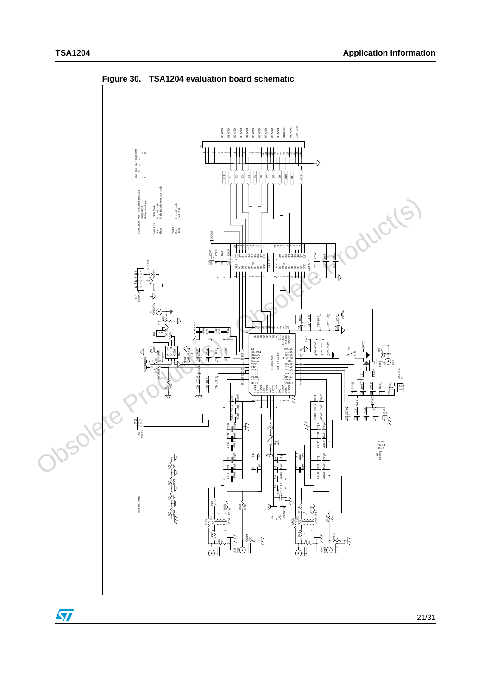

<span id="page-20-0"></span>**Figure 30. TSA1204 evaluation board schematic**

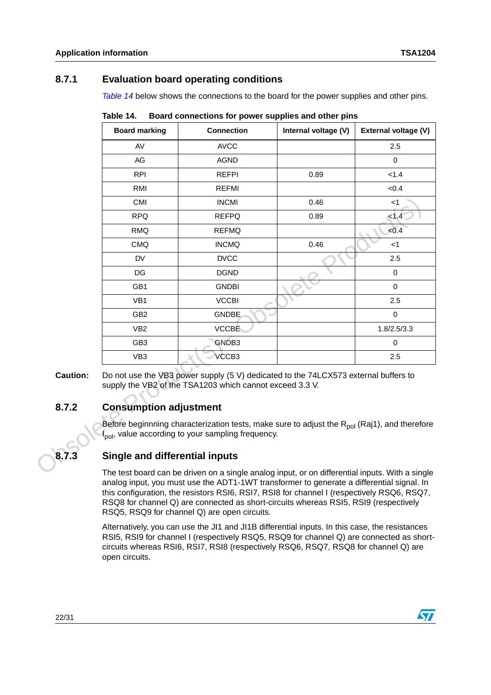### <span id="page-21-0"></span>**8.7.1 Evaluation board operating conditions**

*[Table 14](#page-21-3)* below shows the connections to the board for the power supplies and other pins.

|                 | <b>Board marking</b>                                                                                                                                                                                                                                                                       | <b>Connection</b>                                                                                                                                                          | Internal voltage (V) | External voltage (V) |  |  |  |
|-----------------|--------------------------------------------------------------------------------------------------------------------------------------------------------------------------------------------------------------------------------------------------------------------------------------------|----------------------------------------------------------------------------------------------------------------------------------------------------------------------------|----------------------|----------------------|--|--|--|
|                 | AV                                                                                                                                                                                                                                                                                         | <b>AVCC</b>                                                                                                                                                                |                      | 2.5                  |  |  |  |
|                 | AG                                                                                                                                                                                                                                                                                         | <b>AGND</b>                                                                                                                                                                |                      | $\mathbf 0$          |  |  |  |
|                 | <b>RPI</b>                                                                                                                                                                                                                                                                                 | <b>REFPI</b>                                                                                                                                                               | 0.89                 | < 1.4                |  |  |  |
|                 | <b>RMI</b>                                                                                                                                                                                                                                                                                 | <b>REFMI</b>                                                                                                                                                               |                      | < 0.4                |  |  |  |
|                 | <b>CMI</b>                                                                                                                                                                                                                                                                                 | <b>INCMI</b>                                                                                                                                                               | 0.46                 | $<$ 1                |  |  |  |
|                 | <b>RPQ</b>                                                                                                                                                                                                                                                                                 | <b>REFPQ</b>                                                                                                                                                               | 0.89                 | < 1.4                |  |  |  |
|                 | <b>RMQ</b>                                                                                                                                                                                                                                                                                 | <b>REFMQ</b>                                                                                                                                                               |                      | <0.4                 |  |  |  |
|                 | <b>CMQ</b>                                                                                                                                                                                                                                                                                 | <b>INCMQ</b>                                                                                                                                                               | 0.46                 | $<$ 1                |  |  |  |
|                 | <b>DV</b>                                                                                                                                                                                                                                                                                  | <b>DVCC</b>                                                                                                                                                                |                      | 2.5                  |  |  |  |
|                 | <b>DG</b>                                                                                                                                                                                                                                                                                  | <b>DGND</b>                                                                                                                                                                |                      | $\mathbf 0$          |  |  |  |
|                 | GB1                                                                                                                                                                                                                                                                                        | <b>GNDBI</b>                                                                                                                                                               |                      | $\mathbf 0$          |  |  |  |
|                 | VB1                                                                                                                                                                                                                                                                                        | <b>VCCBI</b>                                                                                                                                                               |                      | 2.5                  |  |  |  |
|                 | GB <sub>2</sub>                                                                                                                                                                                                                                                                            | <b>GNDBE</b>                                                                                                                                                               |                      | $\mathbf 0$          |  |  |  |
|                 | VB <sub>2</sub>                                                                                                                                                                                                                                                                            | <b>VCCBE</b>                                                                                                                                                               |                      | 1.8/2.5/3.3          |  |  |  |
|                 | GB <sub>3</sub>                                                                                                                                                                                                                                                                            | GNDB3                                                                                                                                                                      |                      | $\mathbf 0$          |  |  |  |
|                 | VB <sub>3</sub>                                                                                                                                                                                                                                                                            | VCCB3                                                                                                                                                                      |                      | 2.5                  |  |  |  |
| <b>Caution:</b> |                                                                                                                                                                                                                                                                                            | Do not use the VB3 power supply (5 V) dedicated to the 74LCX573 external buffers to<br>supply the VB2 of the TSA1203 which cannot exceed 3.3 V.                            |                      |                      |  |  |  |
| 8.7.2           | <b>Consumption adjustment</b>                                                                                                                                                                                                                                                              |                                                                                                                                                                            |                      |                      |  |  |  |
|                 |                                                                                                                                                                                                                                                                                            | Before beginnning characterization tests, make sure to adjust the R <sub>pol</sub> (Raj1), and therefore<br>l <sub>pol</sub> , value according to your sampling frequency. |                      |                      |  |  |  |
| 8.7.3           | <b>Single and differential inputs</b>                                                                                                                                                                                                                                                      |                                                                                                                                                                            |                      |                      |  |  |  |
|                 | The test board can be driven on a single analog input, or on differential inputs. With a single<br>analog input, you must use the ADT1-1WT transformer to generate a differential signal. In<br>this configuration, the resistors RSI6, RSI7, RSI8 for channel I (respectively RSQ6, RSQ7, |                                                                                                                                                                            |                      |                      |  |  |  |

<span id="page-21-3"></span>Table 14. **Table 14. Board connections for power supplies and other pins** 

### <span id="page-21-1"></span>**8.7.2 Consumption adjustment**

### <span id="page-21-2"></span>**8.7.3 Single and differential inputs**

The test board can be driven on a single analog input, or on differential inputs. With a single analog input, you must use the ADT1-1WT transformer to generate a differential signal. In this configuration, the resistors RSI6, RSI7, RSI8 for channel I (respectively RSQ6, RSQ7, RSQ8 for channel Q) are connected as short-circuits whereas RSI5, RSI9 (respectively RSQ5, RSQ9 for channel Q) are open circuits.

Alternatively, you can use the JI1 and JI1B differential inputs. In this case, the resistances RSI5, RSI9 for channel I (respectively RSQ5, RSQ9 for channel Q) are connected as shortcircuits whereas RSI6, RSI7, RSI8 (respectively RSQ6, RSQ7, RSQ8 for channel Q) are open circuits.

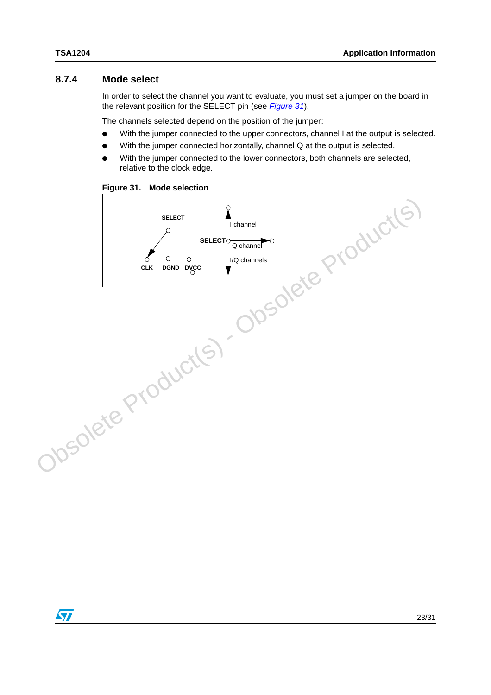### <span id="page-22-0"></span>**8.7.4 Mode select**

In order to select the channel you want to evaluate, you must set a jumper on the board in the relevant position for the SELECT pin (see *[Figure 31](#page-22-1)*).

The channels selected depend on the position of the jumper:

- With the jumper connected to the upper connectors, channel I at the output is selected.
- With the jumper connected horizontally, channel Q at the output is selected.
- With the jumper connected to the lower connectors, both channels are selected, relative to the clock edge.

<span id="page-22-1"></span>

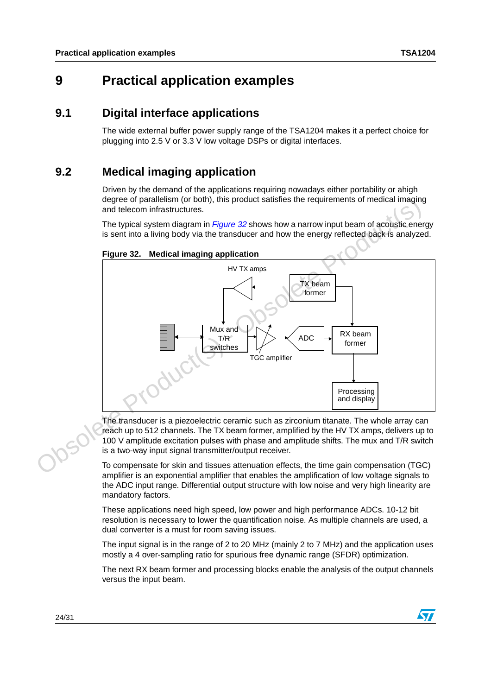# <span id="page-23-0"></span>**9 Practical application examples**

### <span id="page-23-1"></span>**9.1 Digital interface applications**

The wide external buffer power supply range of the TSA1204 makes it a perfect choice for plugging into 2.5 V or 3.3 V low voltage DSPs or digital interfaces.

### <span id="page-23-2"></span>**9.2 Medical imaging application**

Driven by the demand of the applications requiring nowadays either portability or ahigh degree of parallelism (or both), this product satisfies the requirements of medical imaging and telecom infrastructures.

The typical system diagram in *Figure 32* shows how a narrow input beam of acoustic energy is sent into a living body via the transducer and how the energy reflected back is analyzed.



### <span id="page-23-3"></span>**Figure 32. Medical imaging application**

The transducer is a piezoelectric ceramic such as zirconium titanate. The whole array can reach up to 512 channels. The TX beam former, amplified by the HV TX amps, delivers up to 100 V amplitude excitation pulses with phase and amplitude shifts. The mux and T/R switch is a two-way input signal transmitter/output receiver.

To compensate for skin and tissues attenuation effects, the time gain compensation (TGC) amplifier is an exponential amplifier that enables the amplification of low voltage signals to the ADC input range. Differential output structure with low noise and very high linearity are mandatory factors.

These applications need high speed, low power and high performance ADCs. 10-12 bit resolution is necessary to lower the quantification noise. As multiple channels are used, a dual converter is a must for room saving issues.

The input signal is in the range of 2 to 20 MHz (mainly 2 to 7 MHz) and the application uses mostly a 4 over-sampling ratio for spurious free dynamic range (SFDR) optimization.

The next RX beam former and processing blocks enable the analysis of the output channels versus the input beam.

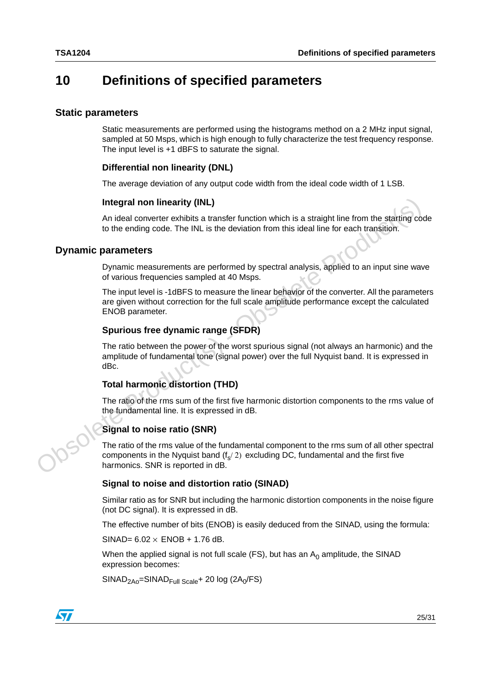## <span id="page-24-0"></span>**10 Definitions of specified parameters**

#### <span id="page-24-1"></span>**Static parameters**

Static measurements are performed using the histograms method on a 2 MHz input signal, sampled at 50 Msps, which is high enough to fully characterize the test frequency response. The input level is +1 dBFS to saturate the signal.

### **Differential non linearity (DNL)**

The average deviation of any output code width from the ideal code width of 1 LSB.

#### **Integral non linearity (INL)**

An ideal converter exhibits a transfer function which is a straight line from the starting code to the ending code. The INL is the deviation from this ideal line for each transition.

#### <span id="page-24-2"></span>**Dynamic parameters**

Dynamic measurements are performed by spectral analysis, applied to an input sine wave of various frequencies sampled at 40 Msps.

The input level is -1dBFS to measure the linear behavior of the converter. All the parameters are given without correction for the full scale amplitude performance except the calculated ENOB parameter. Integral non linearity (INL)<br>
An ideal converter exhibits a transfer function which is a straight line from the stating coordinate the independent care The INL is the deviation from this ideal line for each transition.<br>
Dy

### **Spurious free dynamic range (SFDR)**

The ratio between the power of the worst spurious signal (not always an harmonic) and the amplitude of fundamental tone (signal power) over the full Nyquist band. It is expressed in dBc.

### **Total harmonic distortion (THD)**

The ratio of the rms sum of the first five harmonic distortion components to the rms value of the fundamental line. It is expressed in dB.

### **Signal to noise ratio (SNR)**

The ratio of the rms value of the fundamental component to the rms sum of all other spectral components in the Nyquist band  $(f_s/2)$  excluding DC, fundamental and the first five harmonics. SNR is reported in dB.

#### **Signal to noise and distortion ratio (SINAD)**

Similar ratio as for SNR but including the harmonic distortion components in the noise figure (not DC signal). It is expressed in dB.

The effective number of bits (ENOB) is easily deduced from the SINAD, using the formula:

 $SINAD= 6.02 \times ENOB + 1.76$  dB.

When the applied signal is not full scale (FS), but has an  $A_0$  amplitude, the SINAD expression becomes:

 $SINAD<sub>2AO</sub>=SINAD<sub>Full Scale</sub>+ 20 log (2A<sub>0</sub>/FS)$ 

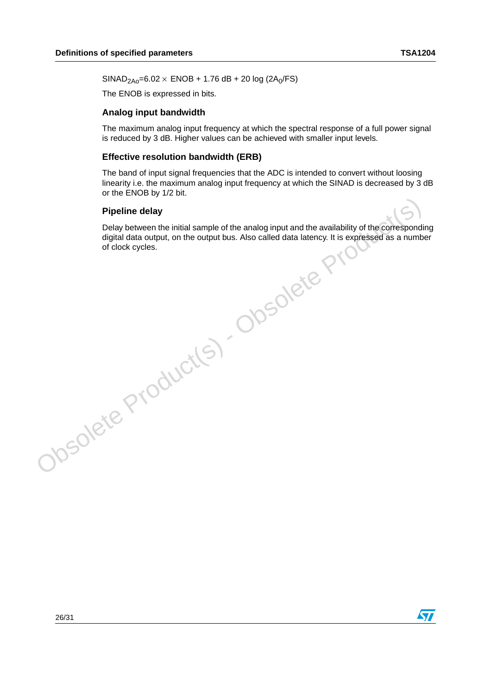$SINAD<sub>2AO</sub>=6.02 \times ENOB + 1.76 dB + 20 log (2A<sub>0</sub>/FS)$ 

The ENOB is expressed in bits.

#### **Analog input bandwidth**

The maximum analog input frequency at which the spectral response of a full power signal is reduced by 3 dB. Higher values can be achieved with smaller input levels.

#### **Effective resolution bandwidth (ERB)**

The band of input signal frequencies that the ADC is intended to convert without loosing linearity i.e. the maximum analog input frequency at which the SINAD is decreased by 3 dB or the ENOB by 1/2 bit.

#### **Pipeline delay**

Delay between the initial sample of the analog input and the availability of the corresponding digital data output, on the output bus. Also called data latency. It is expressed as a number of clock cycles.Pipeline delay<br>
Delay between the initial sample of the analog input and the availability of the correspondid<br>
digital data output, on the output bus. Also called data latency. It is expressed as a numb<br>
of clock cycles.<br>

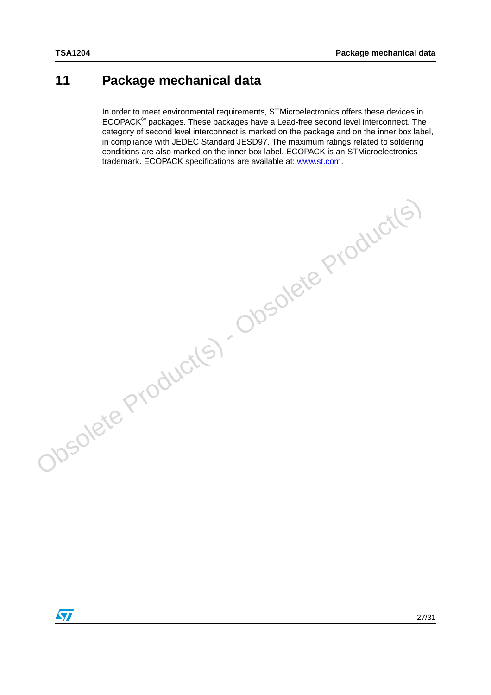# <span id="page-26-0"></span>**11 Package mechanical data**

In order to meet environmental requirements, STMicroelectronics offers these devices in ECOPACK® packages. These packages have a Lead-free second level interconnect. The category of second level interconnect is marked on the package and on the inner box label, in compliance with JEDEC Standard JESD97. The maximum ratings related to soldering conditions are also marked on the inner box label. ECOPACK is an STMicroelectronics trademark. ECOPACK specifications are available at: www.st.com.

Obsolete Product(s) - Obsolete Product(s)

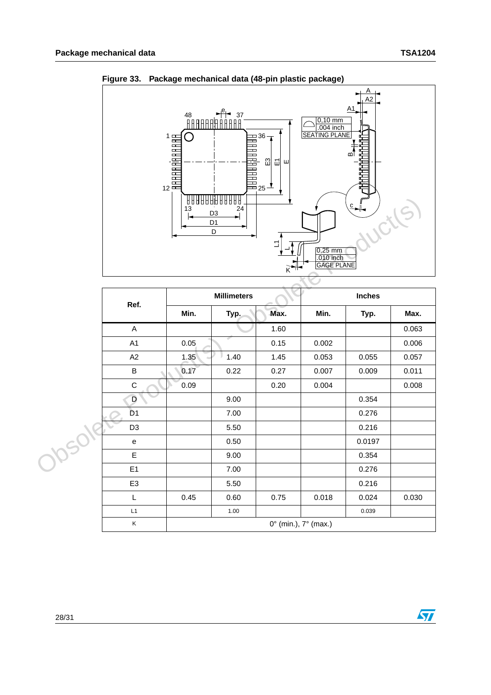

**Figure 33. Package mechanical data (48-pin plastic package)**

|                                   | 13   | 88888888888<br>24<br>D3<br>D <sub>1</sub><br>$\overline{D}$ | ¥.<br>Ľ<br>$K$ <sup>-11</sup> | $0,25$ mm<br>.010 inch<br>GAGE PLANE | $rac{c}{\sqrt{1-\epsilon}}$ |       |
|-----------------------------------|------|-------------------------------------------------------------|-------------------------------|--------------------------------------|-----------------------------|-------|
|                                   |      | <b>Millimeters</b>                                          |                               |                                      | <b>Inches</b>               |       |
| Ref.                              | Min. | Typ.                                                        | Max.                          | Min.                                 | Typ.                        | Max.  |
| $\boldsymbol{\mathsf{A}}$         |      |                                                             | 1.60                          |                                      |                             | 0.063 |
| A1                                | 0.05 |                                                             | 0.15                          | 0.002                                |                             | 0.006 |
| A2                                | 1.35 | 1.40                                                        | 1.45                          | 0.053                                | 0.055                       | 0.057 |
| $\sf B$                           | 0.17 | 0.22                                                        | 0.27                          | 0.007                                | 0.009                       | 0.011 |
| ${\bf C}$                         | 0.09 |                                                             | 0.20                          | 0.004                                |                             | 0.008 |
| D                                 |      | 9.00                                                        |                               |                                      | 0.354                       |       |
| D <sub>1</sub>                    |      | 7.00                                                        |                               |                                      | 0.276                       |       |
| D <sub>3</sub>                    |      | 5.50                                                        |                               |                                      | 0.216                       |       |
| $\mathsf{e}% _{t}\left( t\right)$ |      | 0.50                                                        |                               |                                      | 0.0197                      |       |
| $\mathsf{E}% _{T}$                |      | 9.00                                                        |                               |                                      | 0.354                       |       |
| E <sub>1</sub>                    |      | 7.00                                                        |                               |                                      | 0.276                       |       |
| E <sub>3</sub>                    |      | 5.50                                                        |                               |                                      | 0.216                       |       |
| L                                 | 0.45 | 0.60                                                        | 0.75                          | 0.018                                | 0.024                       | 0.030 |
| $\mathsf{L}1$                     |      | 1.00                                                        |                               |                                      | 0.039                       |       |
| K                                 |      |                                                             | 0° (min.), 7° (max.)          |                                      |                             |       |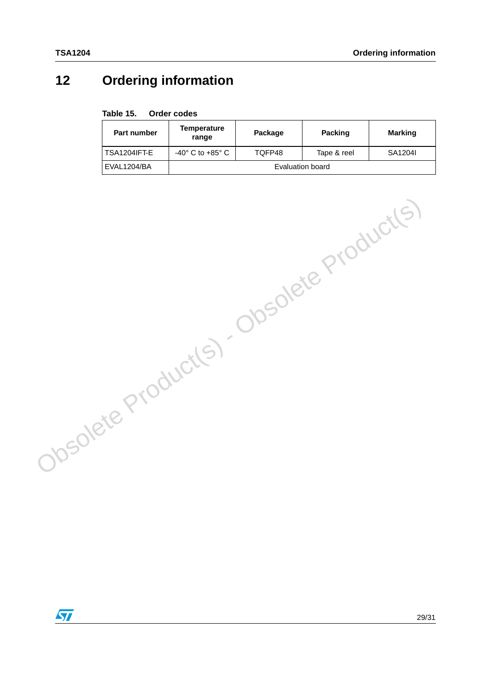# <span id="page-28-0"></span>**12 Ordering information**

#### Table 15. **Order codes**

| Part number    | <b>Temperature</b><br>range        | Package          | <b>Packing</b>        | Marking |  |  |
|----------------|------------------------------------|------------------|-----------------------|---------|--|--|
| l TSA1204IFT-E | $-40^{\circ}$ C to $+85^{\circ}$ C |                  | TOFP48<br>Tape & reel |         |  |  |
| l EVAL1204/BA  |                                    | Evaluation board |                       |         |  |  |

Obsolete Product(s) - Obsolete Product(s)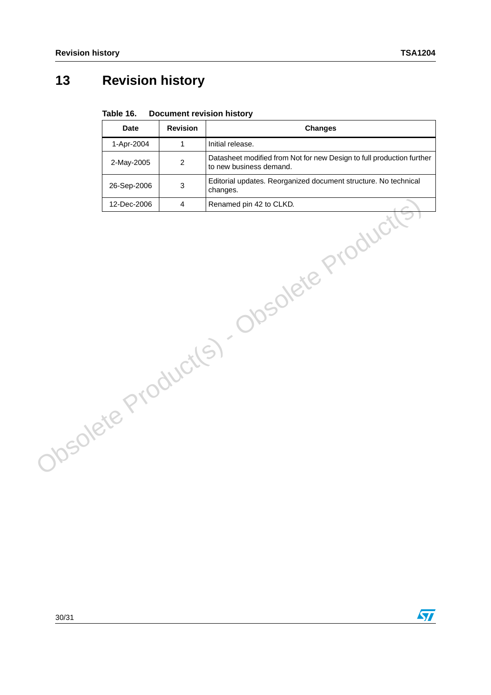$\sqrt{2}$ 

# <span id="page-29-0"></span>**13 Revision history**

#### Table 16. **Document revision history**

| <b>Date</b> | <b>Revision</b>           | <b>Changes</b>                                                                                   |
|-------------|---------------------------|--------------------------------------------------------------------------------------------------|
| 1-Apr-2004  | $\mathbf{1}$              | Initial release.                                                                                 |
| 2-May-2005  | $\overline{c}$            | Datasheet modified from Not for new Design to full production further<br>to new business demand. |
| 26-Sep-2006 | $\ensuremath{\mathsf{3}}$ | Editorial updates. Reorganized document structure. No technical<br>changes.                      |
| 12-Dec-2006 | $\overline{4}$            | Renamed pin 42 to CLKD.                                                                          |
|             |                           | Obsolete Product(s) Obsolete Product                                                             |